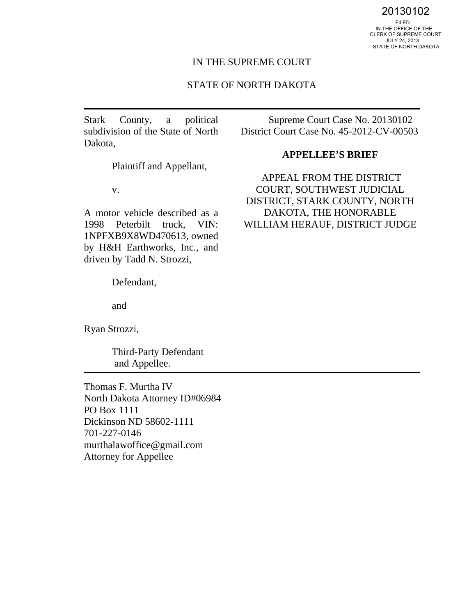20130102

 IN THE OFFICE OF THE CLERK OF SUPREME COURT JULY 24, 2013 STATE OF NORTH DAKOTA

## IN THE SUPREME COURT

## STATE OF NORTH DAKOTA

Stark County, a political subdivision of the State of North Dakota,

Plaintiff and Appellant,

v.

A motor vehicle described as a 1998 Peterbilt truck, VIN: 1NPFXB9X8WD470613, owned by H&H Earthworks, Inc., and driven by Tadd N. Strozzi,

Defendant,

and

Ryan Strozzi,

Third-Party Defendant and Appellee.

Thomas F. Murtha IV North Dakota Attorney ID#06984 PO Box 1111 Dickinson ND 58602-1111 701-227-0146 murthalawoffice@gmail.com Attorney for Appellee

Supreme Court Case No. 20130102 District Court Case No. 45-2012-CV-00503

#### **APPELLEE'S BRIEF**

APPEAL FROM THE DISTRICT COURT, SOUTHWEST JUDICIAL DISTRICT, STARK COUNTY, NORTH DAKOTA, THE HONORABLE WILLIAM HERAUF, DISTRICT JUDGE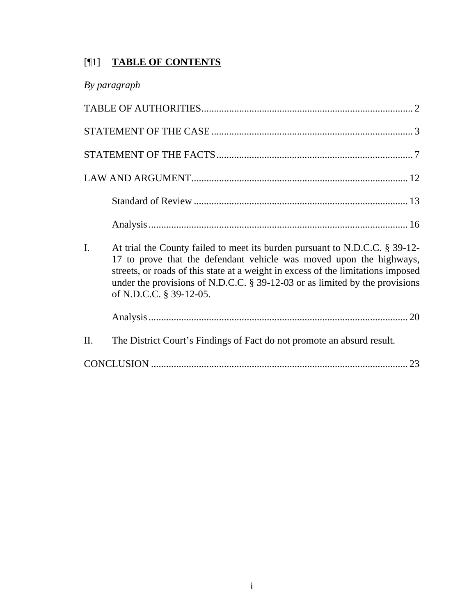# [¶1] **TABLE OF CONTENTS**

|  | By paragraph |
|--|--------------|
|--|--------------|

| I. | At trial the County failed to meet its burden pursuant to N.D.C.C. § 39-12-<br>17 to prove that the defendant vehicle was moved upon the highways,<br>streets, or roads of this state at a weight in excess of the limitations imposed<br>under the provisions of N.D.C.C. $\S$ 39-12-03 or as limited by the provisions<br>of N.D.C.C. § 39-12-05. |
|----|-----------------------------------------------------------------------------------------------------------------------------------------------------------------------------------------------------------------------------------------------------------------------------------------------------------------------------------------------------|
|    |                                                                                                                                                                                                                                                                                                                                                     |

| П.<br>The District Court's Findings of Fact do not promote an absurd result. |  |  |  |  |
|------------------------------------------------------------------------------|--|--|--|--|
|------------------------------------------------------------------------------|--|--|--|--|

|--|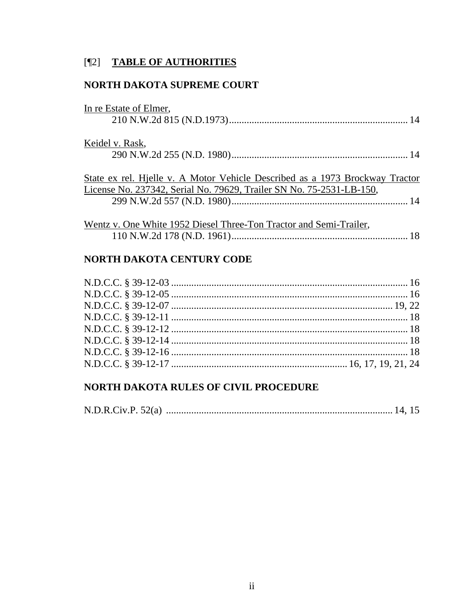## [¶2] TABLE OF AUTHORITIES

## NORTH DAKOTA SUPREME COURT

| In re Estate of Elmer,                                                       |
|------------------------------------------------------------------------------|
|                                                                              |
| Keidel v. Rask,                                                              |
|                                                                              |
| State ex rel. Hjelle v. A Motor Vehicle Described as a 1973 Brockway Tractor |
| License No. 237342, Serial No. 79629, Trailer SN No. 75-2531-LB-150,         |
|                                                                              |
| Wentz v. One White 1952 Diesel Three-Ton Tractor and Semi-Trailer,           |

## NORTH DAKOTA CENTURY CODE

## NORTH DAKOTA RULES OF CIVIL PROCEDURE

|--|--|--|--|--|--|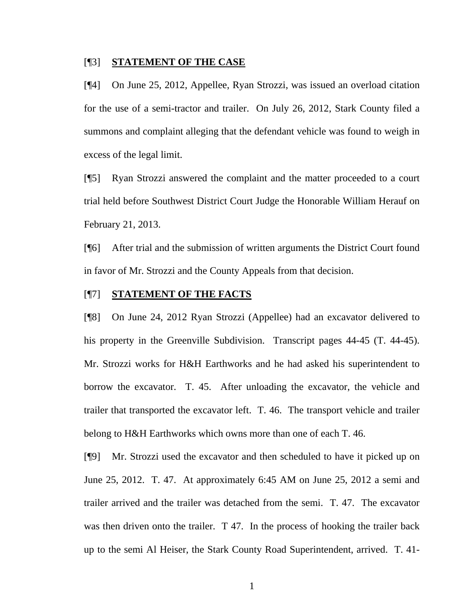#### [¶3] **STATEMENT OF THE CASE**

[¶4] On June 25, 2012, Appellee, Ryan Strozzi, was issued an overload citation for the use of a semi-tractor and trailer. On July 26, 2012, Stark County filed a summons and complaint alleging that the defendant vehicle was found to weigh in excess of the legal limit.

[¶5] Ryan Strozzi answered the complaint and the matter proceeded to a court trial held before Southwest District Court Judge the Honorable William Herauf on February 21, 2013.

[¶6] After trial and the submission of written arguments the District Court found in favor of Mr. Strozzi and the County Appeals from that decision.

## [¶7] **STATEMENT OF THE FACTS**

[¶8] On June 24, 2012 Ryan Strozzi (Appellee) had an excavator delivered to his property in the Greenville Subdivision. Transcript pages 44-45 (T. 44-45). Mr. Strozzi works for H&H Earthworks and he had asked his superintendent to borrow the excavator. T. 45. After unloading the excavator, the vehicle and trailer that transported the excavator left. T. 46. The transport vehicle and trailer belong to H&H Earthworks which owns more than one of each T. 46.

[¶9] Mr. Strozzi used the excavator and then scheduled to have it picked up on June 25, 2012. T. 47. At approximately 6:45 AM on June 25, 2012 a semi and trailer arrived and the trailer was detached from the semi. T. 47. The excavator was then driven onto the trailer. T 47. In the process of hooking the trailer back up to the semi Al Heiser, the Stark County Road Superintendent, arrived. T. 41-

1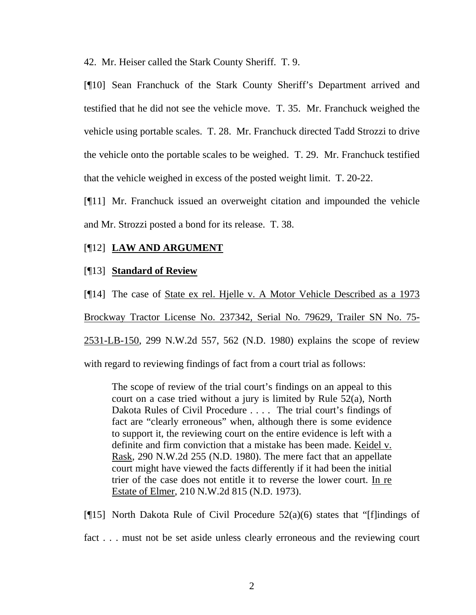42. Mr. Heiser called the Stark County Sheriff. T. 9.

[¶10] Sean Franchuck of the Stark County Sheriff's Department arrived and testified that he did not see the vehicle move. T. 35. Mr. Franchuck weighed the vehicle using portable scales. T. 28. Mr. Franchuck directed Tadd Strozzi to drive the vehicle onto the portable scales to be weighed. T. 29. Mr. Franchuck testified that the vehicle weighed in excess of the posted weight limit. T. 20-22.

[¶11] Mr. Franchuck issued an overweight citation and impounded the vehicle and Mr. Strozzi posted a bond for its release. T. 38.

## [¶12] **LAW AND ARGUMENT**

## [¶13] **Standard of Review**

[¶14] The case of State ex rel. Hjelle v. A Motor Vehicle Described as a 1973 Brockway Tractor License No. 237342, Serial No. 79629, Trailer SN No. 75-2531-LB-150, 299 N.W.2d 557, 562 (N.D. 1980) explains the scope of review

with regard to reviewing findings of fact from a court trial as follows:

The scope of review of the trial court's findings on an appeal to this court on a case tried without a jury is limited by Rule 52(a), North Dakota Rules of Civil Procedure . . . . The trial court's findings of fact are "clearly erroneous" when, although there is some evidence to support it, the reviewing court on the entire evidence is left with a definite and firm conviction that a mistake has been made. Keidel v. Rask, 290 N.W.2d 255 (N.D. 1980). The mere fact that an appellate court might have viewed the facts differently if it had been the initial trier of the case does not entitle it to reverse the lower court. In re Estate of Elmer, 210 N.W.2d 815 (N.D. 1973).

[ $[15]$ ] North Dakota Rule of Civil Procedure 52(a)(6) states that "[f]indings of

fact . . . must not be set aside unless clearly erroneous and the reviewing court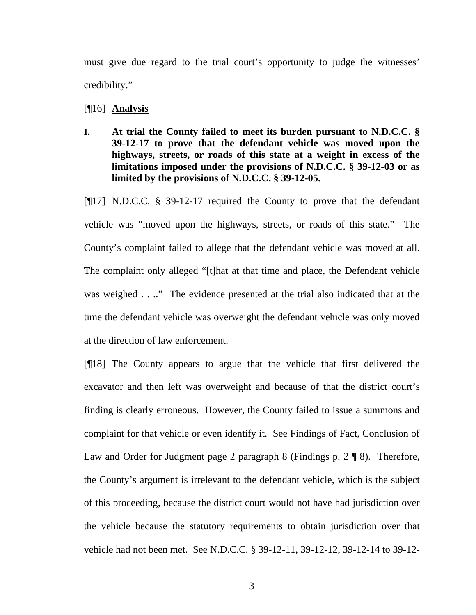must give due regard to the trial court's opportunity to judge the witnesses' credibility."

[¶16] **Analysis** 

**I. At trial the County failed to meet its burden pursuant to N.D.C.C. § 39-12-17 to prove that the defendant vehicle was moved upon the highways, streets, or roads of this state at a weight in excess of the limitations imposed under the provisions of N.D.C.C. § 39-12-03 or as limited by the provisions of N.D.C.C. § 39-12-05.** 

[¶17] N.D.C.C. § 39-12-17 required the County to prove that the defendant vehicle was "moved upon the highways, streets, or roads of this state." The County's complaint failed to allege that the defendant vehicle was moved at all. The complaint only alleged "[t]hat at that time and place, the Defendant vehicle was weighed . . .." The evidence presented at the trial also indicated that at the time the defendant vehicle was overweight the defendant vehicle was only moved at the direction of law enforcement.

[¶18] The County appears to argue that the vehicle that first delivered the excavator and then left was overweight and because of that the district court's finding is clearly erroneous. However, the County failed to issue a summons and complaint for that vehicle or even identify it. See Findings of Fact, Conclusion of Law and Order for Judgment page 2 paragraph 8 (Findings p. 2 ¶ 8). Therefore, the County's argument is irrelevant to the defendant vehicle, which is the subject of this proceeding, because the district court would not have had jurisdiction over the vehicle because the statutory requirements to obtain jurisdiction over that vehicle had not been met. See N.D.C.C. § 39-12-11, 39-12-12, 39-12-14 to 39-12-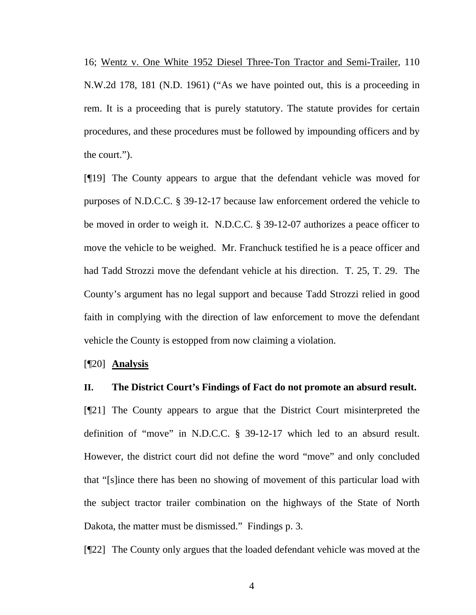16; Wentz v. One White 1952 Diesel Three-Ton Tractor and Semi-Trailer, 110 N.W.2d 178, 181 (N.D. 1961) ("As we have pointed out, this is a proceeding in rem. It is a proceeding that is purely statutory. The statute provides for certain procedures, and these procedures must be followed by impounding officers and by the court.").

[¶19] The County appears to argue that the defendant vehicle was moved for purposes of N.D.C.C. § 39-12-17 because law enforcement ordered the vehicle to be moved in order to weigh it. N.D.C.C. § 39-12-07 authorizes a peace officer to move the vehicle to be weighed. Mr. Franchuck testified he is a peace officer and had Tadd Strozzi move the defendant vehicle at his direction. T. 25, T. 29. The County's argument has no legal support and because Tadd Strozzi relied in good faith in complying with the direction of law enforcement to move the defendant vehicle the County is estopped from now claiming a violation.

[¶20] **Analysis** 

#### **II. The District Court's Findings of Fact do not promote an absurd result.**

[¶21] The County appears to argue that the District Court misinterpreted the definition of "move" in N.D.C.C. § 39-12-17 which led to an absurd result. However, the district court did not define the word "move" and only concluded that "[s]ince there has been no showing of movement of this particular load with the subject tractor trailer combination on the highways of the State of North Dakota, the matter must be dismissed." Findings p. 3.

[¶22] The County only argues that the loaded defendant vehicle was moved at the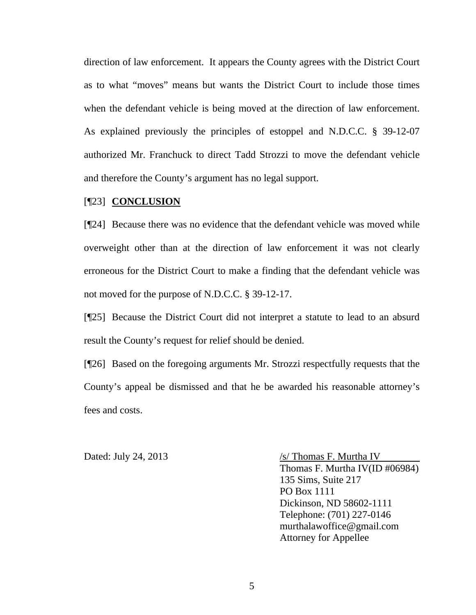direction of law enforcement. It appears the County agrees with the District Court as to what "moves" means but wants the District Court to include those times when the defendant vehicle is being moved at the direction of law enforcement. As explained previously the principles of estoppel and N.D.C.C. § 39-12-07 authorized Mr. Franchuck to direct Tadd Strozzi to move the defendant vehicle and therefore the County's argument has no legal support.

#### [¶23] **CONCLUSION**

[¶24] Because there was no evidence that the defendant vehicle was moved while overweight other than at the direction of law enforcement it was not clearly erroneous for the District Court to make a finding that the defendant vehicle was not moved for the purpose of N.D.C.C. § 39-12-17.

[¶25] Because the District Court did not interpret a statute to lead to an absurd result the County's request for relief should be denied.

[¶26] Based on the foregoing arguments Mr. Strozzi respectfully requests that the County's appeal be dismissed and that he be awarded his reasonable attorney's fees and costs.

Dated: July 24, 2013  $\frac{\sqrt{s}}{\text{Thomas F. Murtha IV}}$ Thomas F. Murtha IV(ID #06984) 135 Sims, Suite 217 PO Box 1111 Dickinson, ND 58602-1111 Telephone: (701) 227-0146 murthalawoffice@gmail.com Attorney for Appellee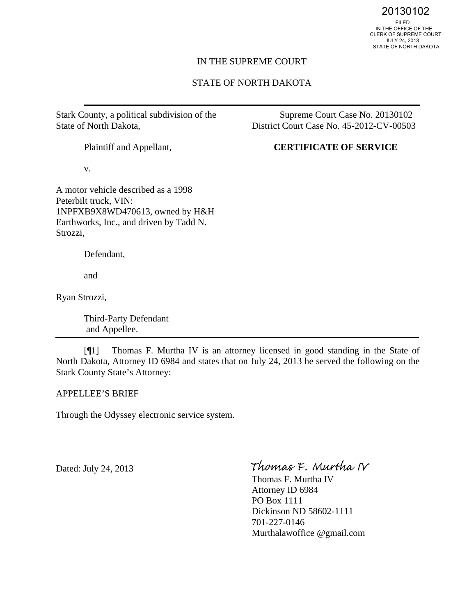20130102<br>FILED<br>IN THE OFFICE OF THE CLERK OF SUPREME COURT JULY 24, 2013 STATE OF NORTH DAKOTA

#### IN THE SUPREME COURT

## STATE OF NORTH DAKOTA

Stark County, a political subdivision of the State of North Dakota,

Plaintiff and Appellant,

District Court Case No. 45-2012-CV-00503

Supreme Court Case No. 20130102

## **CERTIFICATE OF SERVICE**

v.

A motor vehicle described as a 1998 Peterbilt truck, VIN: 1NPFXB9X8WD470613, owned by H&H Earthworks, Inc., and driven by Tadd N. Strozzi,

Defendant,

and

Ryan Strozzi,

Third-Party Defendant and Appellee.

[¶1] Thomas F. Murtha IV is an attorney licensed in good standing in the State of North Dakota, Attorney ID 6984 and states that on July 24, 2013 he served the following on the Stark County State's Attorney:

APPELLEE'S BRIEF

Through the Odyssey electronic service system.

Dated: July 24, 2013

Thomas F. Murtha IV

Thomas F. Murtha IV Attorney ID 6984 PO Box 1111 Dickinson ND 58602-1111 701-227-0146 Murthalawoffice @gmail.com